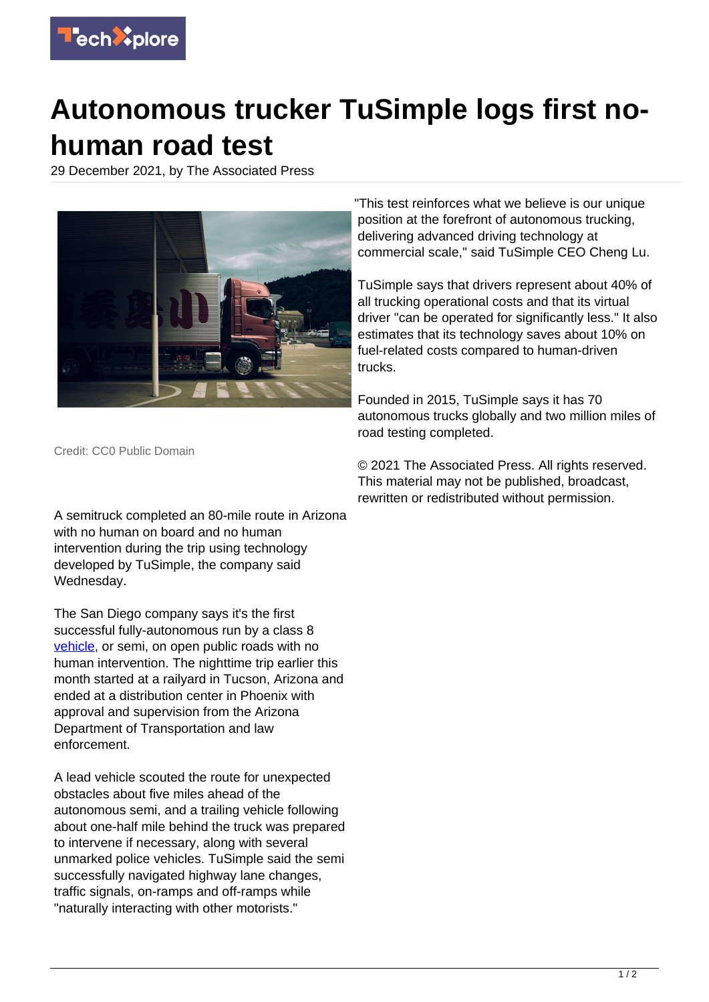

## **Autonomous trucker TuSimple logs first nohuman road test**

29 December 2021, by The Associated Press



"This test reinforces what we believe is our unique position at the forefront of autonomous trucking, delivering advanced driving technology at commercial scale," said TuSimple CEO Cheng Lu.

TuSimple says that drivers represent about 40% of all trucking operational costs and that its virtual driver "can be operated for significantly less." It also estimates that its technology saves about 10% on fuel-related costs compared to human-driven trucks.

Founded in 2015, TuSimple says it has 70 autonomous trucks globally and two million miles of road testing completed.

Credit: CC0 Public Domain

A semitruck completed an 80-mile route in Arizona with no human on board and no human intervention during the trip using technology developed by TuSimple, the company said Wednesday.

The San Diego company says it's the first successful fully-autonomous run by a class 8 [vehicle,](https://techxplore.com/tags/vehicle/) or semi, on open public roads with no human intervention. The nighttime trip earlier this month started at a railyard in Tucson, Arizona and ended at a distribution center in Phoenix with approval and supervision from the Arizona Department of Transportation and law enforcement.

A lead vehicle scouted the route for unexpected obstacles about five miles ahead of the autonomous semi, and a trailing vehicle following about one-half mile behind the truck was prepared to intervene if necessary, along with several unmarked police vehicles. TuSimple said the semi successfully navigated highway lane changes, traffic signals, on-ramps and off-ramps while "naturally interacting with other motorists."

© 2021 The Associated Press. All rights reserved. This material may not be published, broadcast, rewritten or redistributed without permission.